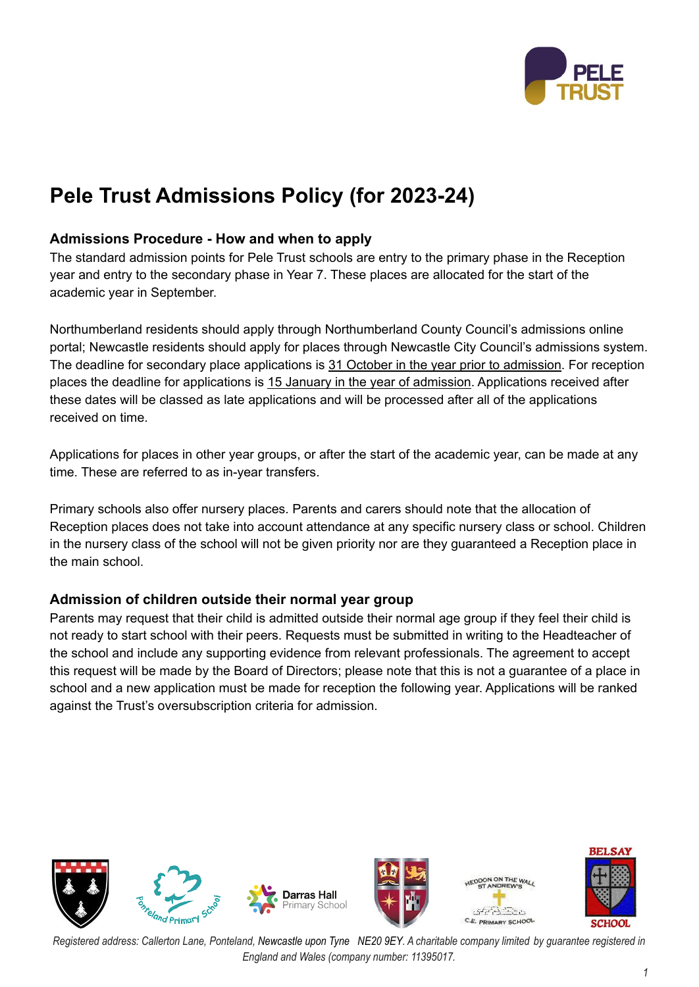

# **Pele Trust Admissions Policy (for 2023-24)**

### **Admissions Procedure - How and when to apply**

The standard admission points for Pele Trust schools are entry to the primary phase in the Reception year and entry to the secondary phase in Year 7. These places are allocated for the start of the academic year in September.

Northumberland residents should apply through Northumberland County Council's admissions online portal; Newcastle residents should apply for places through Newcastle City Council's admissions system. The deadline for secondary place applications is 31 October in the year prior to admission. For reception places the deadline for applications is 15 January in the year of admission. Applications received after these dates will be classed as late applications and will be processed after all of the applications received on time.

Applications for places in other year groups, or after the start of the academic year, can be made at any time. These are referred to as in-year transfers.

Primary schools also offer nursery places. Parents and carers should note that the allocation of Reception places does not take into account attendance at any specific nursery class or school. Children in the nursery class of the school will not be given priority nor are they guaranteed a Reception place in the main school.

#### **Admission of children outside their normal year group**

Parents may request that their child is admitted outside their normal age group if they feel their child is not ready to start school with their peers. Requests must be submitted in writing to the Headteacher of the school and include any supporting evidence from relevant professionals. The agreement to accept this request will be made by the Board of Directors; please note that this is not a guarantee of a place in school and a new application must be made for reception the following year. Applications will be ranked against the Trust's oversubscription criteria for admission.

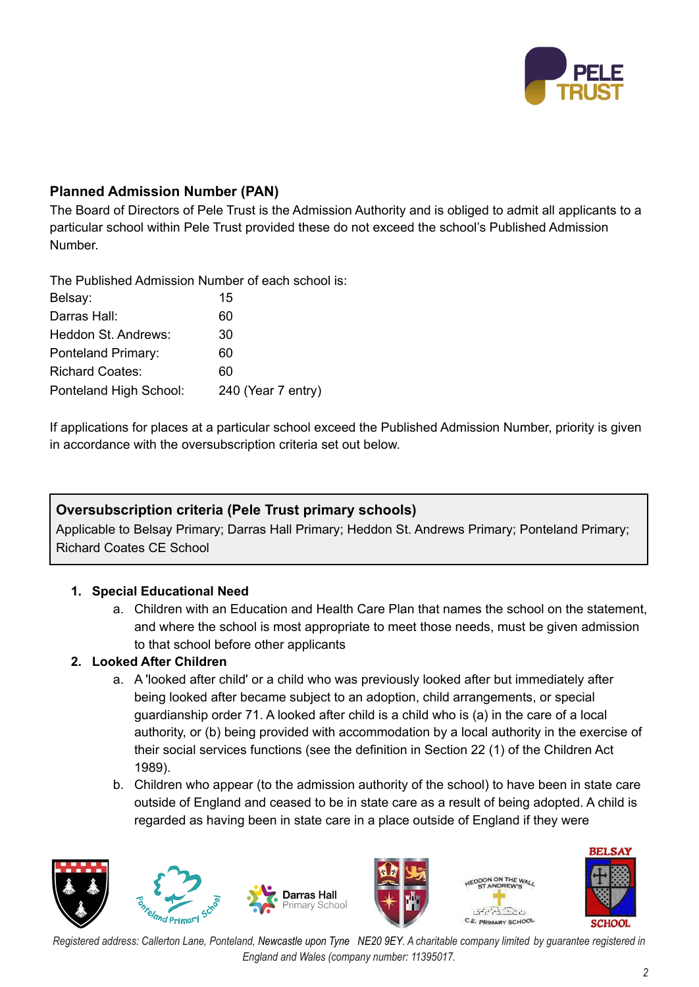

## **Planned Admission Number (PAN)**

The Board of Directors of Pele Trust is the Admission Authority and is obliged to admit all applicants to a particular school within Pele Trust provided these do not exceed the school's Published Admission Number.

The Published Admission Number of each school is: Belsay: 15 Darras Hall: 60 Heddon St. Andrews: 30 Ponteland Primary: 60 Richard Coates: 60 Ponteland High School: 240 (Year 7 entry)

If applications for places at a particular school exceed the Published Admission Number, priority is given in accordance with the oversubscription criteria set out below.

## **Oversubscription criteria (Pele Trust primary schools)**

Applicable to Belsay Primary; Darras Hall Primary; Heddon St. Andrews Primary; Ponteland Primary; Richard Coates CE School

## **1. Special Educational Need**

a. Children with an Education and Health Care Plan that names the school on the statement, and where the school is most appropriate to meet those needs, must be given admission to that school before other applicants

#### **2. Looked After Children**

- a. A 'looked after child' or a child who was previously looked after but immediately after being looked after became subject to an adoption, child arrangements, or special guardianship order 71. A looked after child is a child who is (a) in the care of a local authority, or (b) being provided with accommodation by a local authority in the exercise of their social services functions (see the definition in Section 22 (1) of the Children Act 1989).
- b. Children who appear (to the admission authority of the school) to have been in state care outside of England and ceased to be in state care as a result of being adopted. A child is regarded as having been in state care in a place outside of England if they were





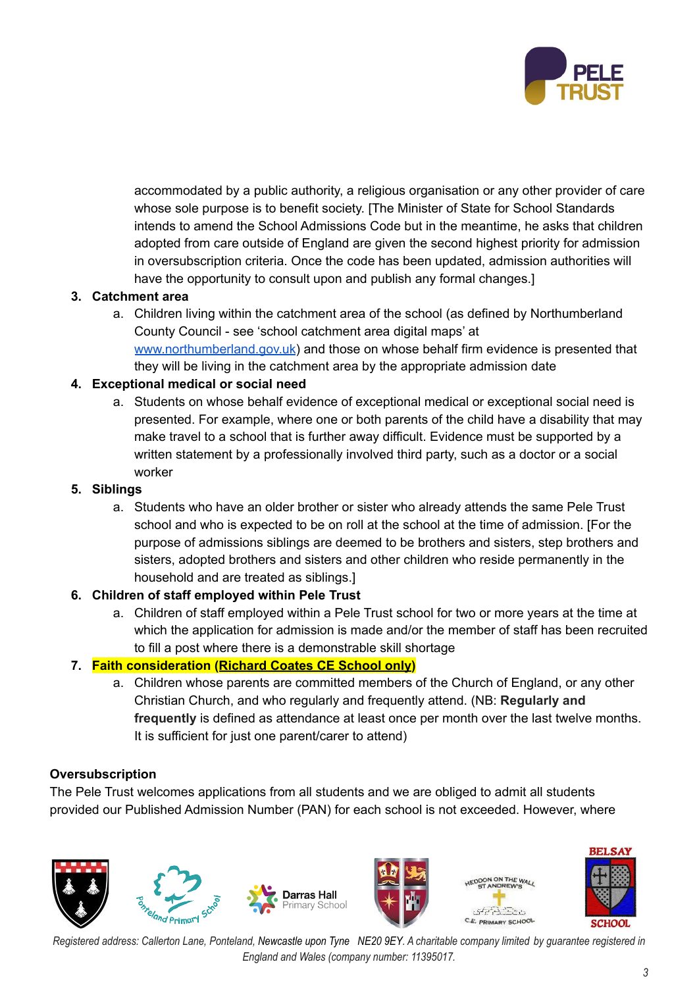

accommodated by a public authority, a religious organisation or any other provider of care whose sole purpose is to benefit society. [The Minister of State for School Standards intends to amend the School Admissions Code but in the meantime, he asks that children adopted from care outside of England are given the second highest priority for admission in oversubscription criteria. Once the code has been updated, admission authorities will have the opportunity to consult upon and publish any formal changes.]

#### **3. Catchment area**

a. Children living within the catchment area of the school (as defined by Northumberland County Council - see 'school catchment area digital maps' at [www.northumberland.gov.uk](http://www.northumberland.gov.uk)) and those on whose behalf firm evidence is presented that they will be living in the catchment area by the appropriate admission date

#### **4. Exceptional medical or social need**

a. Students on whose behalf evidence of exceptional medical or exceptional social need is presented. For example, where one or both parents of the child have a disability that may make travel to a school that is further away difficult. Evidence must be supported by a written statement by a professionally involved third party, such as a doctor or a social worker

#### **5. Siblings**

a. Students who have an older brother or sister who already attends the same Pele Trust school and who is expected to be on roll at the school at the time of admission. [For the purpose of admissions siblings are deemed to be brothers and sisters, step brothers and sisters, adopted brothers and sisters and other children who reside permanently in the household and are treated as siblings.]

#### **6. Children of staff employed within Pele Trust**

a. Children of staff employed within a Pele Trust school for two or more years at the time at which the application for admission is made and/or the member of staff has been recruited to fill a post where there is a demonstrable skill shortage

## **7. Faith consideration (Richard Coates CE School only)**

a. Children whose parents are committed members of the Church of England, or any other Christian Church, and who regularly and frequently attend. (NB: **Regularly and frequently** is defined as attendance at least once per month over the last twelve months. It is sufficient for just one parent/carer to attend)

#### **Oversubscription**

The Pele Trust welcomes applications from all students and we are obliged to admit all students provided our Published Admission Number (PAN) for each school is not exceeded. However, where

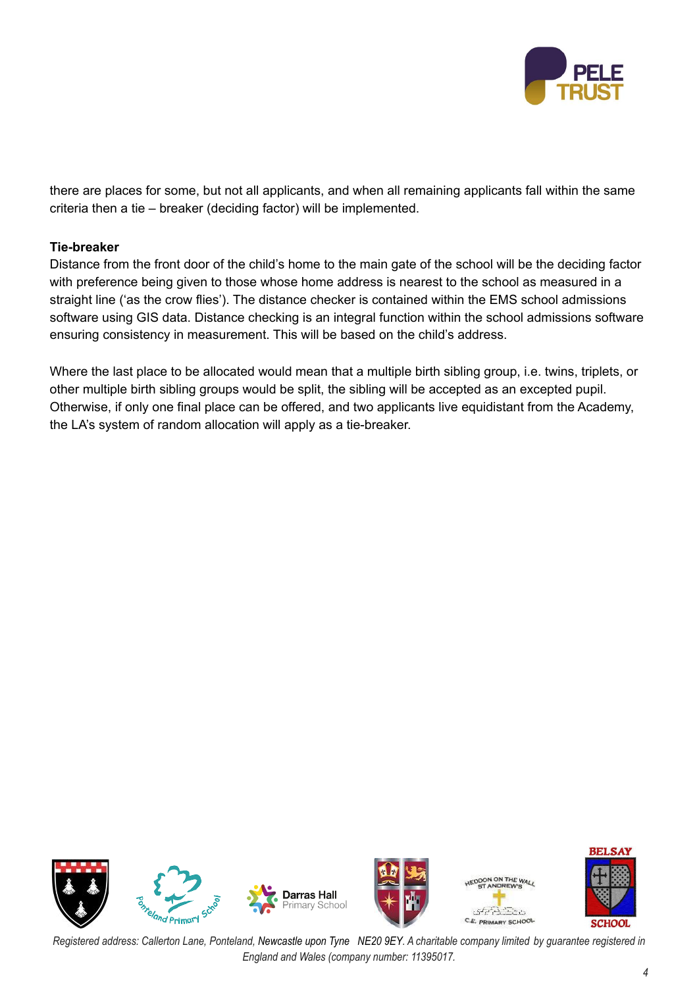

there are places for some, but not all applicants, and when all remaining applicants fall within the same criteria then a tie – breaker (deciding factor) will be implemented.

#### **Tie-breaker**

Distance from the front door of the child's home to the main gate of the school will be the deciding factor with preference being given to those whose home address is nearest to the school as measured in a straight line ('as the crow flies'). The distance checker is contained within the EMS school admissions software using GIS data. Distance checking is an integral function within the school admissions software ensuring consistency in measurement. This will be based on the child's address.

Where the last place to be allocated would mean that a multiple birth sibling group, i.e. twins, triplets, or other multiple birth sibling groups would be split, the sibling will be accepted as an excepted pupil. Otherwise, if only one final place can be offered, and two applicants live equidistant from the Academy, the LA's system of random allocation will apply as a tie-breaker.



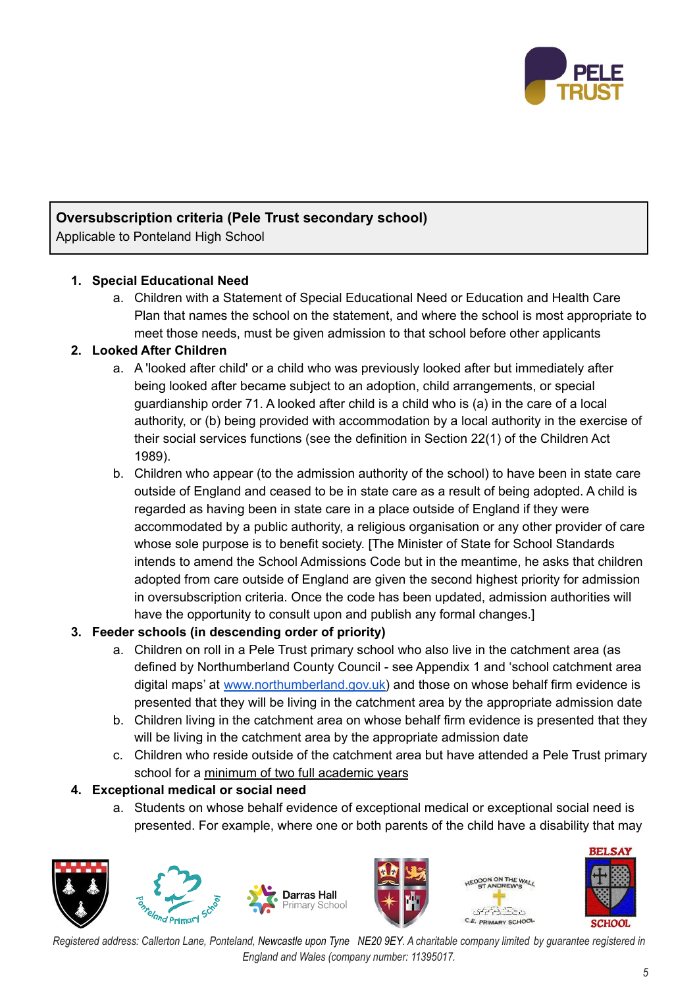

## **Oversubscription criteria (Pele Trust secondary school)**

Applicable to Ponteland High School

#### **1. Special Educational Need**

a. Children with a Statement of Special Educational Need or Education and Health Care Plan that names the school on the statement, and where the school is most appropriate to meet those needs, must be given admission to that school before other applicants

#### **2. Looked After Children**

- a. A 'looked after child' or a child who was previously looked after but immediately after being looked after became subject to an adoption, child arrangements, or special guardianship order 71. A looked after child is a child who is (a) in the care of a local authority, or (b) being provided with accommodation by a local authority in the exercise of their social services functions (see the definition in Section 22(1) of the Children Act 1989).
- b. Children who appear (to the admission authority of the school) to have been in state care outside of England and ceased to be in state care as a result of being adopted. A child is regarded as having been in state care in a place outside of England if they were accommodated by a public authority, a religious organisation or any other provider of care whose sole purpose is to benefit society. [The Minister of State for School Standards intends to amend the School Admissions Code but in the meantime, he asks that children adopted from care outside of England are given the second highest priority for admission in oversubscription criteria. Once the code has been updated, admission authorities will have the opportunity to consult upon and publish any formal changes.]

#### **3. Feeder schools (in descending order of priority)**

- a. Children on roll in a Pele Trust primary school who also live in the catchment area (as defined by Northumberland County Council - see Appendix 1 and 'school catchment area digital maps' at [www.northumberland.gov.uk\)](http://www.northumberland.gov.uk) and those on whose behalf firm evidence is presented that they will be living in the catchment area by the appropriate admission date
- b. Children living in the catchment area on whose behalf firm evidence is presented that they will be living in the catchment area by the appropriate admission date
- c. Children who reside outside of the catchment area but have attended a Pele Trust primary school for a minimum of two full academic years

## **4. Exceptional medical or social need**

a. Students on whose behalf evidence of exceptional medical or exceptional social need is presented. For example, where one or both parents of the child have a disability that may







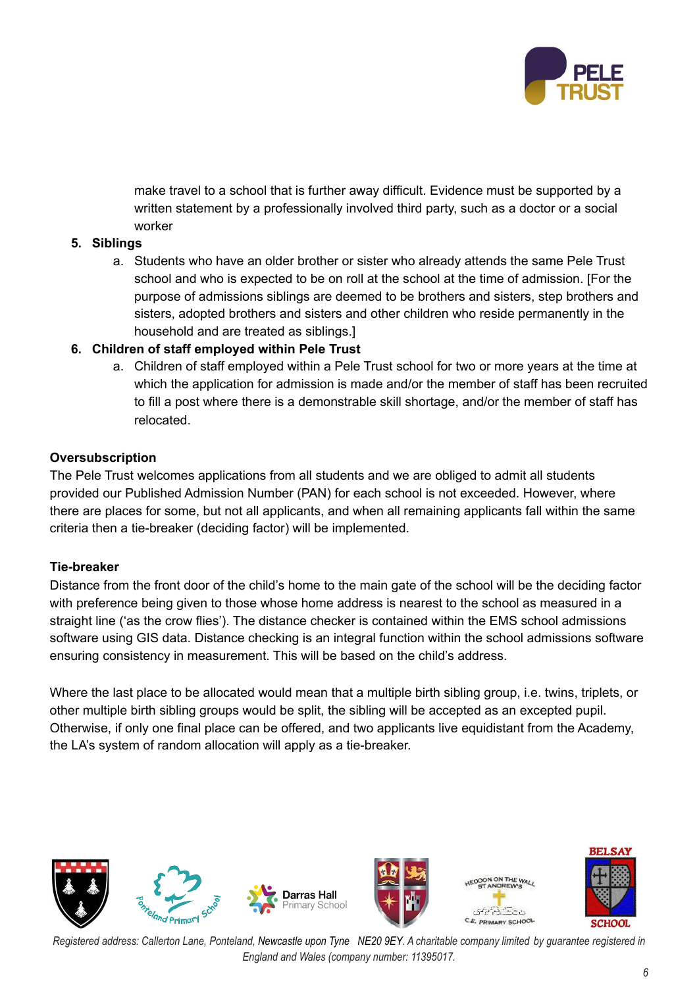

make travel to a school that is further away difficult. Evidence must be supported by a written statement by a professionally involved third party, such as a doctor or a social worker

#### **5. Siblings**

a. Students who have an older brother or sister who already attends the same Pele Trust school and who is expected to be on roll at the school at the time of admission. [For the purpose of admissions siblings are deemed to be brothers and sisters, step brothers and sisters, adopted brothers and sisters and other children who reside permanently in the household and are treated as siblings.]

#### **6. Children of staff employed within Pele Trust**

a. Children of staff employed within a Pele Trust school for two or more years at the time at which the application for admission is made and/or the member of staff has been recruited to fill a post where there is a demonstrable skill shortage, and/or the member of staff has relocated.

#### **Oversubscription**

The Pele Trust welcomes applications from all students and we are obliged to admit all students provided our Published Admission Number (PAN) for each school is not exceeded. However, where there are places for some, but not all applicants, and when all remaining applicants fall within the same criteria then a tie-breaker (deciding factor) will be implemented.

#### **Tie-breaker**

Distance from the front door of the child's home to the main gate of the school will be the deciding factor with preference being given to those whose home address is nearest to the school as measured in a straight line ('as the crow flies'). The distance checker is contained within the EMS school admissions software using GIS data. Distance checking is an integral function within the school admissions software ensuring consistency in measurement. This will be based on the child's address.

Where the last place to be allocated would mean that a multiple birth sibling group, i.e. twins, triplets, or other multiple birth sibling groups would be split, the sibling will be accepted as an excepted pupil. Otherwise, if only one final place can be offered, and two applicants live equidistant from the Academy, the LA's system of random allocation will apply as a tie-breaker.

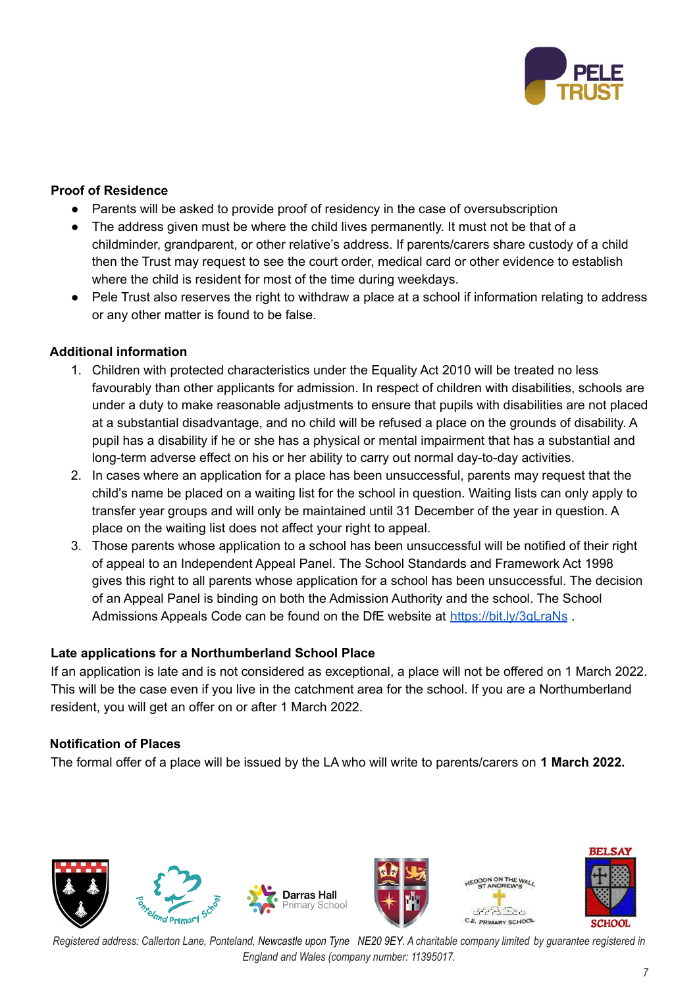

#### **Proof of Residence**

- Parents will be asked to provide proof of residency in the case of oversubscription
- The address given must be where the child lives permanently. It must not be that of a childminder, grandparent, or other relative's address. If parents/carers share custody of a child then the Trust may request to see the court order, medical card or other evidence to establish where the child is resident for most of the time during weekdays.
- Pele Trust also reserves the right to withdraw a place at a school if information relating to address or any other matter is found to be false.

#### **Additional information**

- 1. Children with protected characteristics under the Equality Act 2010 will be treated no less favourably than other applicants for admission. In respect of children with disabilities, schools are under a duty to make reasonable adjustments to ensure that pupils with disabilities are not placed at a substantial disadvantage, and no child will be refused a place on the grounds of disability. A pupil has a disability if he or she has a physical or mental impairment that has a substantial and long-term adverse effect on his or her ability to carry out normal day-to-day activities.
- 2. In cases where an application for a place has been unsuccessful, parents may request that the child's name be placed on a waiting list for the school in question. Waiting lists can only apply to transfer year groups and will only be maintained until 31 December of the year in question. A place on the waiting list does not affect your right to appeal.
- 3. Those parents whose application to a school has been unsuccessful will be notified of their right of appeal to an Independent Appeal Panel. The School Standards and Framework Act 1998 gives this right to all parents whose application for a school has been unsuccessful. The decision of an Appeal Panel is binding on both the Admission Authority and the school. The School Admissions Appeals Code can be found on the DfE website at <https://bit.ly/3qLraNs>.

#### **Late applications for a Northumberland School Place**

If an application is late and is not considered as exceptional, a place will not be offered on 1 March 2022. This will be the case even if you live in the catchment area for the school. If you are a Northumberland resident, you will get an offer on or after 1 March 2022.

#### **Notification of Places**

The formal offer of a place will be issued by the LA who will write to parents/carers on **1 March 2022.**

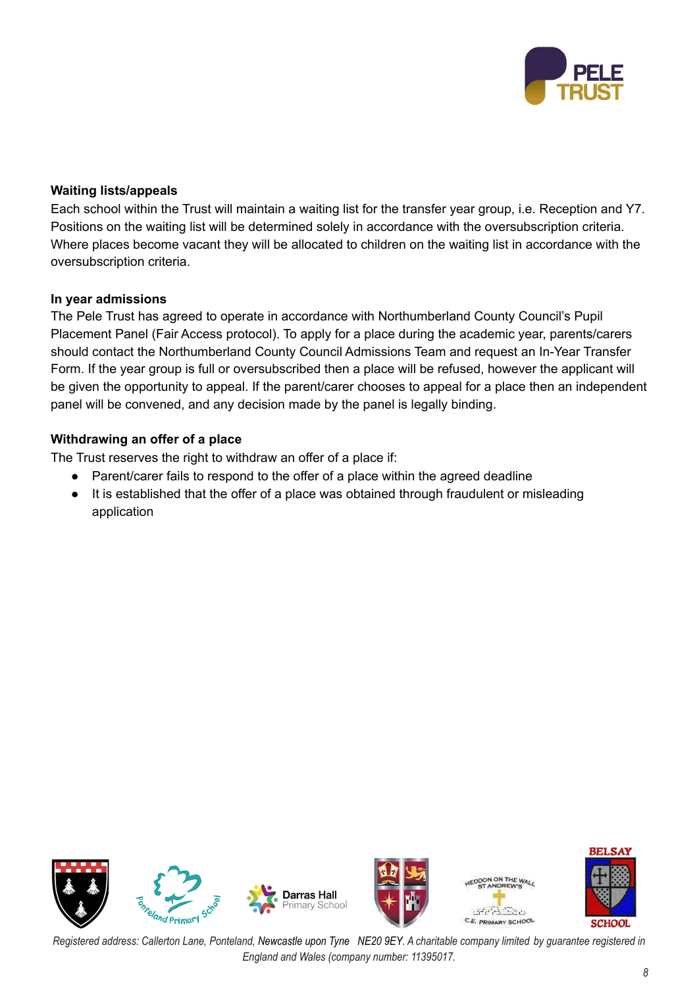

#### **Waiting lists/appeals**

Each school within the Trust will maintain a waiting list for the transfer year group, i.e. Reception and Y7. Positions on the waiting list will be determined solely in accordance with the oversubscription criteria. Where places become vacant they will be allocated to children on the waiting list in accordance with the oversubscription criteria.

#### **In year admissions**

The Pele Trust has agreed to operate in accordance with Northumberland County Council's Pupil Placement Panel (Fair Access protocol). To apply for a place during the academic year, parents/carers should contact the Northumberland County Council Admissions Team and request an In-Year Transfer Form. If the year group is full or oversubscribed then a place will be refused, however the applicant will be given the opportunity to appeal. If the parent/carer chooses to appeal for a place then an independent panel will be convened, and any decision made by the panel is legally binding.

#### **Withdrawing an offer of a place**

The Trust reserves the right to withdraw an offer of a place if:

- Parent/carer fails to respond to the offer of a place within the agreed deadline
- It is established that the offer of a place was obtained through fraudulent or misleading application





**VON THE W**